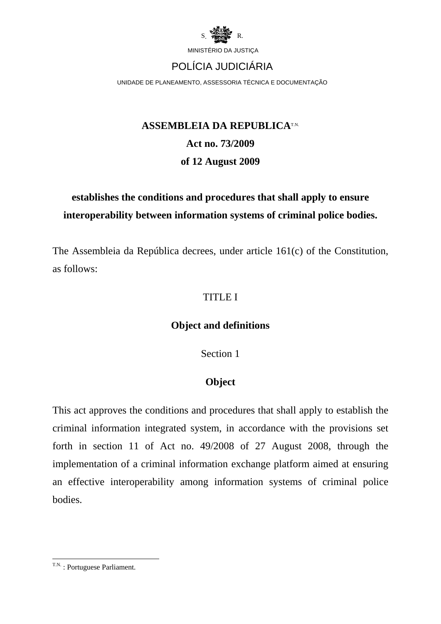

UNIDADE DE PLANEAMENTO, ASSESSORIA TÉCNICA E DOCUMENTAÇÃO

# **ASSEMBLEIA DA REPUBLICATAL Act no. 73/2009 of 12 August 2009**

# **establishes the conditions and procedures that shall apply to ensure interoperability between information systems of criminal police bodies.**

The Assembleia da República decrees, under article 161(c) of the Constitution, as follows:

### TITLE I

### **Object and definitions**

Section 1

### **Object**

This act approves the conditions and procedures that shall apply to establish the criminal information integrated system, in accordance with the provisions set forth in section 11 of Act no. 49/2008 of 27 August 2008, through the implementation of a criminal information exchange platform aimed at ensuring an effective interoperability among information systems of criminal police **bodies** 

<sup>&</sup>lt;u>.</u>  $T.N.$ : Portuguese Parliament.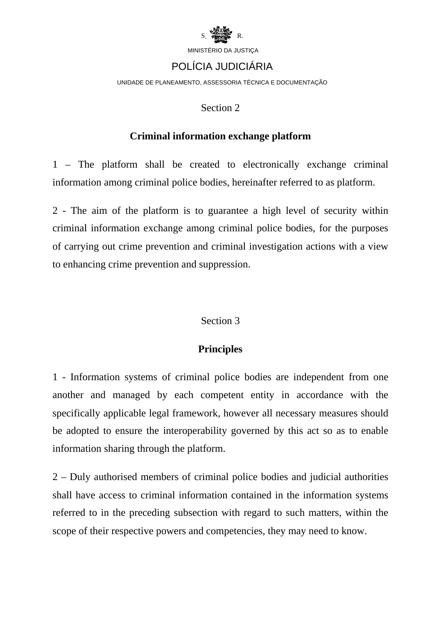

# POLÍCIA JUDICIÁRIA

UNIDADE DE PLANEAMENTO, ASSESSORIA TÉCNICA E DOCUMENTAÇÃO

#### Section 2

#### **Criminal information exchange platform**

1 – The platform shall be created to electronically exchange criminal information among criminal police bodies, hereinafter referred to as platform.

2 - The aim of the platform is to guarantee a high level of security within criminal information exchange among criminal police bodies, for the purposes of carrying out crime prevention and criminal investigation actions with a view to enhancing crime prevention and suppression.

### Section 3

### **Principles**

1 - Information systems of criminal police bodies are independent from one another and managed by each competent entity in accordance with the specifically applicable legal framework, however all necessary measures should be adopted to ensure the interoperability governed by this act so as to enable information sharing through the platform.

2 – Duly authorised members of criminal police bodies and judicial authorities shall have access to criminal information contained in the information systems referred to in the preceding subsection with regard to such matters, within the scope of their respective powers and competencies, they may need to know.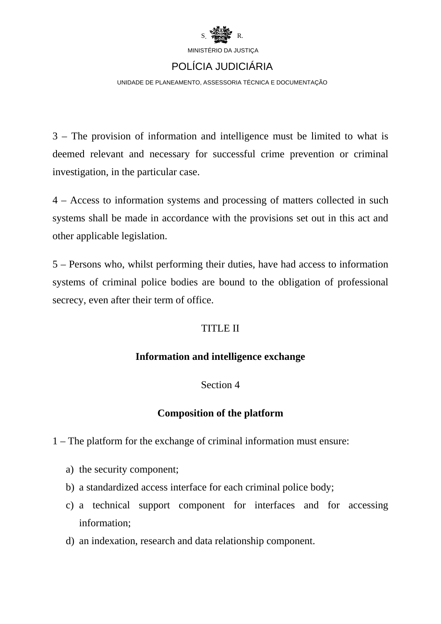

### POLÍCIA JUDICIÁRIA

UNIDADE DE PLANEAMENTO, ASSESSORIA TÉCNICA E DOCUMENTAÇÃO

3 – The provision of information and intelligence must be limited to what is deemed relevant and necessary for successful crime prevention or criminal investigation, in the particular case.

4 – Access to information systems and processing of matters collected in such systems shall be made in accordance with the provisions set out in this act and other applicable legislation.

5 – Persons who, whilst performing their duties, have had access to information systems of criminal police bodies are bound to the obligation of professional secrecy, even after their term of office.

### TITLE II

### **Information and intelligence exchange**

### Section 4

### **Composition of the platform**

1 – The platform for the exchange of criminal information must ensure:

- a) the security component;
- b) a standardized access interface for each criminal police body;
- c) a technical support component for interfaces and for accessing information;
- d) an indexation, research and data relationship component.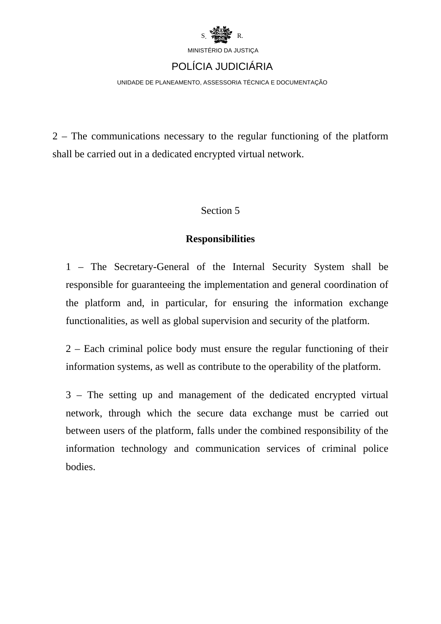

UNIDADE DE PLANEAMENTO, ASSESSORIA TÉCNICA E DOCUMENTAÇÃO

2 – The communications necessary to the regular functioning of the platform shall be carried out in a dedicated encrypted virtual network.

#### Section 5

#### **Responsibilities**

1 – The Secretary-General of the Internal Security System shall be responsible for guaranteeing the implementation and general coordination of the platform and, in particular, for ensuring the information exchange functionalities, as well as global supervision and security of the platform.

2 – Each criminal police body must ensure the regular functioning of their information systems, as well as contribute to the operability of the platform.

3 – The setting up and management of the dedicated encrypted virtual network, through which the secure data exchange must be carried out between users of the platform, falls under the combined responsibility of the information technology and communication services of criminal police bodies.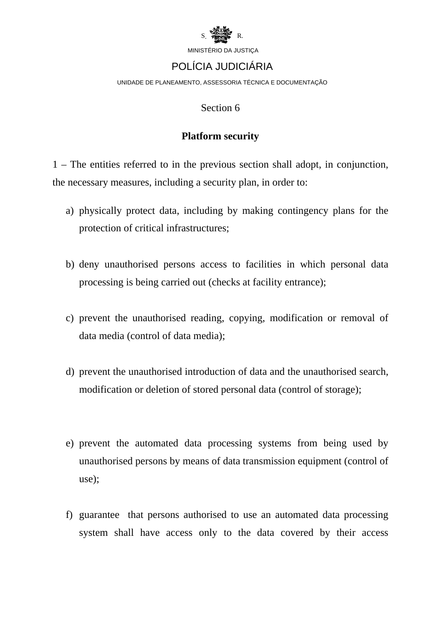

## POLÍCIA JUDICIÁRIA

UNIDADE DE PLANEAMENTO, ASSESSORIA TÉCNICA E DOCUMENTAÇÃO

#### Section 6

#### **Platform security**

1 – The entities referred to in the previous section shall adopt, in conjunction, the necessary measures, including a security plan, in order to:

- a) physically protect data, including by making contingency plans for the protection of critical infrastructures;
- b) deny unauthorised persons access to facilities in which personal data processing is being carried out (checks at facility entrance);
- c) prevent the unauthorised reading, copying, modification or removal of data media (control of data media);
- d) prevent the unauthorised introduction of data and the unauthorised search, modification or deletion of stored personal data (control of storage);
- e) prevent the automated data processing systems from being used by unauthorised persons by means of data transmission equipment (control of use);
- f) guarantee that persons authorised to use an automated data processing system shall have access only to the data covered by their access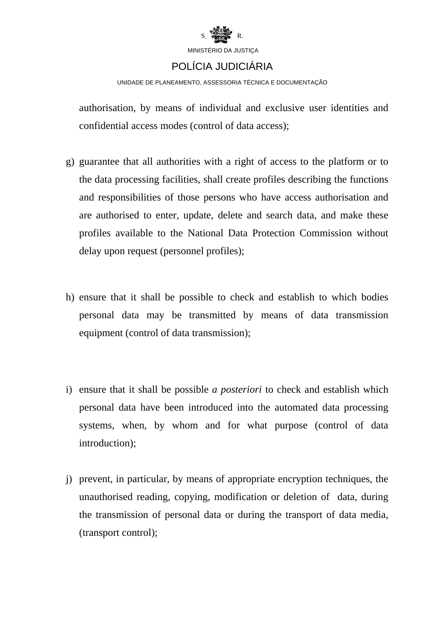

### POLÍCIA JUDICIÁRIA

UNIDADE DE PLANEAMENTO, ASSESSORIA TÉCNICA E DOCUMENTAÇÃO

authorisation, by means of individual and exclusive user identities and confidential access modes (control of data access);

- g) guarantee that all authorities with a right of access to the platform or to the data processing facilities, shall create profiles describing the functions and responsibilities of those persons who have access authorisation and are authorised to enter, update, delete and search data, and make these profiles available to the National Data Protection Commission without delay upon request (personnel profiles);
- h) ensure that it shall be possible to check and establish to which bodies personal data may be transmitted by means of data transmission equipment (control of data transmission);
- i) ensure that it shall be possible *a posteriori* to check and establish which personal data have been introduced into the automated data processing systems, when, by whom and for what purpose (control of data introduction);
- j) prevent, in particular, by means of appropriate encryption techniques, the unauthorised reading, copying, modification or deletion of data, during the transmission of personal data or during the transport of data media, (transport control);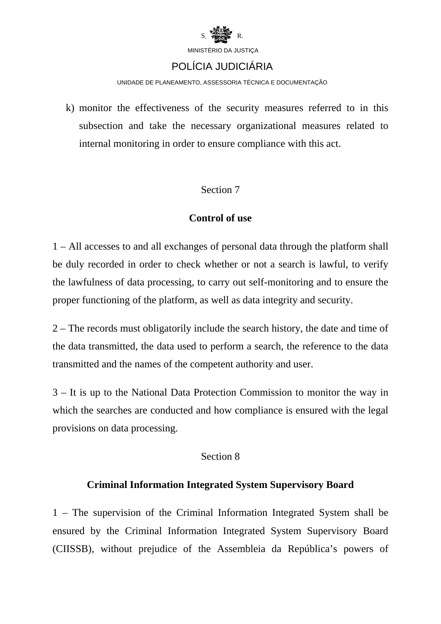

### POLÍCIA JUDICIÁRIA

UNIDADE DE PLANEAMENTO, ASSESSORIA TÉCNICA E DOCUMENTAÇÃO

k) monitor the effectiveness of the security measures referred to in this subsection and take the necessary organizational measures related to internal monitoring in order to ensure compliance with this act.

### Section 7

### **Control of use**

1 – All accesses to and all exchanges of personal data through the platform shall be duly recorded in order to check whether or not a search is lawful, to verify the lawfulness of data processing, to carry out self-monitoring and to ensure the proper functioning of the platform, as well as data integrity and security.

2 – The records must obligatorily include the search history, the date and time of the data transmitted, the data used to perform a search, the reference to the data transmitted and the names of the competent authority and user.

3 – It is up to the National Data Protection Commission to monitor the way in which the searches are conducted and how compliance is ensured with the legal provisions on data processing.

### Section 8

### **Criminal Information Integrated System Supervisory Board**

1 – The supervision of the Criminal Information Integrated System shall be ensured by the Criminal Information Integrated System Supervisory Board (CIISSB), without prejudice of the Assembleia da República's powers of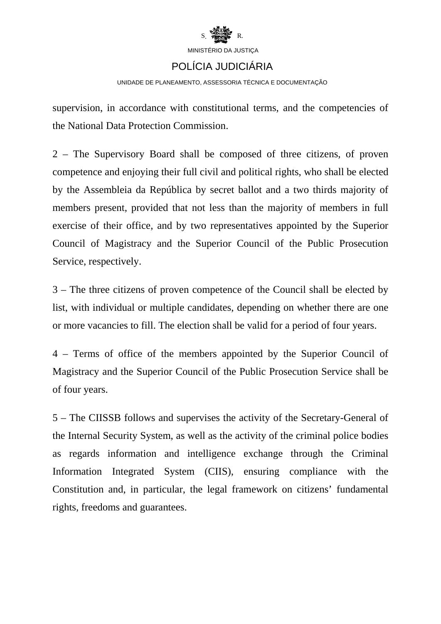

# POLÍCIA JUDICIÁRIA

UNIDADE DE PLANEAMENTO, ASSESSORIA TÉCNICA E DOCUMENTAÇÃO

supervision, in accordance with constitutional terms, and the competencies of the National Data Protection Commission.

2 – The Supervisory Board shall be composed of three citizens, of proven competence and enjoying their full civil and political rights, who shall be elected by the Assembleia da República by secret ballot and a two thirds majority of members present, provided that not less than the majority of members in full exercise of their office, and by two representatives appointed by the Superior Council of Magistracy and the Superior Council of the Public Prosecution Service, respectively.

3 – The three citizens of proven competence of the Council shall be elected by list, with individual or multiple candidates, depending on whether there are one or more vacancies to fill. The election shall be valid for a period of four years.

4 – Terms of office of the members appointed by the Superior Council of Magistracy and the Superior Council of the Public Prosecution Service shall be of four years.

5 – The CIISSB follows and supervises the activity of the Secretary-General of the Internal Security System, as well as the activity of the criminal police bodies as regards information and intelligence exchange through the Criminal Information Integrated System (CIIS), ensuring compliance with the Constitution and, in particular, the legal framework on citizens' fundamental rights, freedoms and guarantees.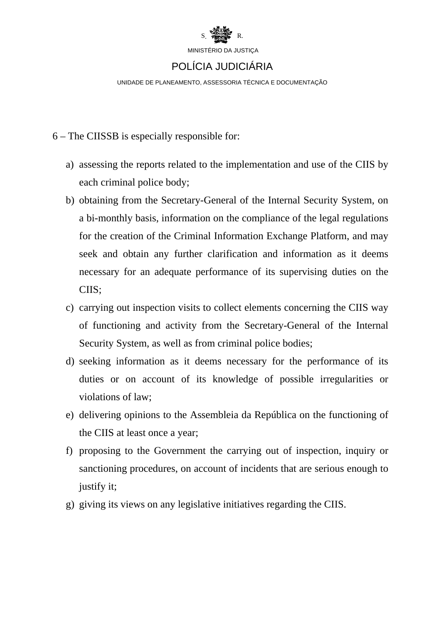

UNIDADE DE PLANEAMENTO, ASSESSORIA TÉCNICA E DOCUMENTAÇÃO

- 6 The CIISSB is especially responsible for:
	- a) assessing the reports related to the implementation and use of the CIIS by each criminal police body;
	- b) obtaining from the Secretary-General of the Internal Security System, on a bi-monthly basis, information on the compliance of the legal regulations for the creation of the Criminal Information Exchange Platform, and may seek and obtain any further clarification and information as it deems necessary for an adequate performance of its supervising duties on the CIIS;
	- c) carrying out inspection visits to collect elements concerning the CIIS way of functioning and activity from the Secretary-General of the Internal Security System, as well as from criminal police bodies;
	- d) seeking information as it deems necessary for the performance of its duties or on account of its knowledge of possible irregularities or violations of law;
	- e) delivering opinions to the Assembleia da República on the functioning of the CIIS at least once a year;
	- f) proposing to the Government the carrying out of inspection, inquiry or sanctioning procedures, on account of incidents that are serious enough to justify it;
	- g) giving its views on any legislative initiatives regarding the CIIS.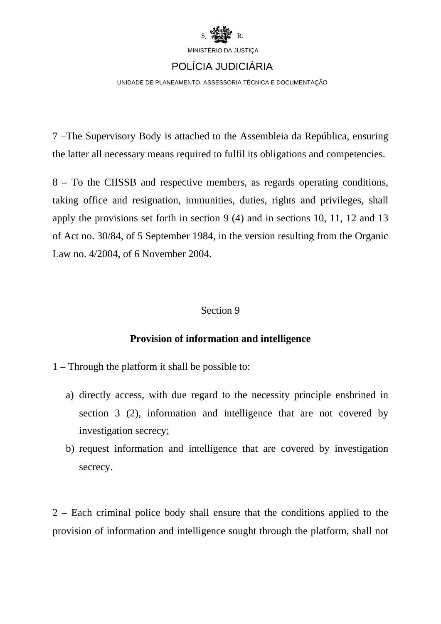

UNIDADE DE PLANEAMENTO, ASSESSORIA TÉCNICA E DOCUMENTAÇÃO

7 –The Supervisory Body is attached to the Assembleia da República, ensuring the latter all necessary means required to fulfil its obligations and competencies.

8 – To the CIISSB and respective members, as regards operating conditions, taking office and resignation, immunities, duties, rights and privileges, shall apply the provisions set forth in section 9 (4) and in sections 10, 11, 12 and 13 of Act no. 30/84, of 5 September 1984, in the version resulting from the Organic Law no. 4/2004, of 6 November 2004.

#### Section 9

### **Provision of information and intelligence**

1 – Through the platform it shall be possible to:

- a) directly access, with due regard to the necessity principle enshrined in section 3 (2), information and intelligence that are not covered by investigation secrecy;
- b) request information and intelligence that are covered by investigation secrecy.

2 – Each criminal police body shall ensure that the conditions applied to the provision of information and intelligence sought through the platform, shall not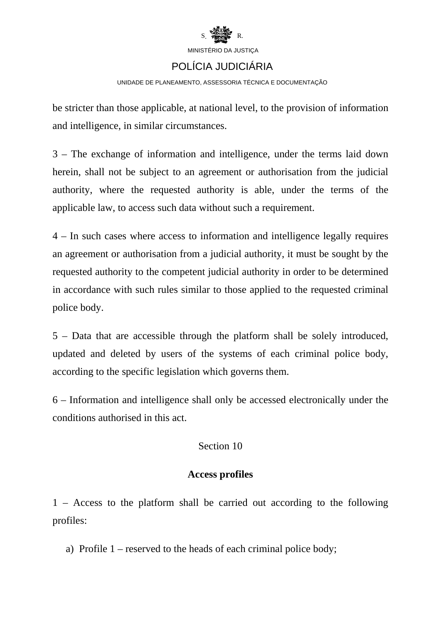

# POLÍCIA JUDICIÁRIA

#### UNIDADE DE PLANEAMENTO, ASSESSORIA TÉCNICA E DOCUMENTAÇÃO

be stricter than those applicable, at national level, to the provision of information and intelligence, in similar circumstances.

3 – The exchange of information and intelligence, under the terms laid down herein, shall not be subject to an agreement or authorisation from the judicial authority, where the requested authority is able, under the terms of the applicable law, to access such data without such a requirement.

4 – In such cases where access to information and intelligence legally requires an agreement or authorisation from a judicial authority, it must be sought by the requested authority to the competent judicial authority in order to be determined in accordance with such rules similar to those applied to the requested criminal police body.

5 – Data that are accessible through the platform shall be solely introduced, updated and deleted by users of the systems of each criminal police body, according to the specific legislation which governs them.

6 – Information and intelligence shall only be accessed electronically under the conditions authorised in this act.

### Section 10

### **Access profiles**

1 – Access to the platform shall be carried out according to the following profiles:

a) Profile 1 – reserved to the heads of each criminal police body;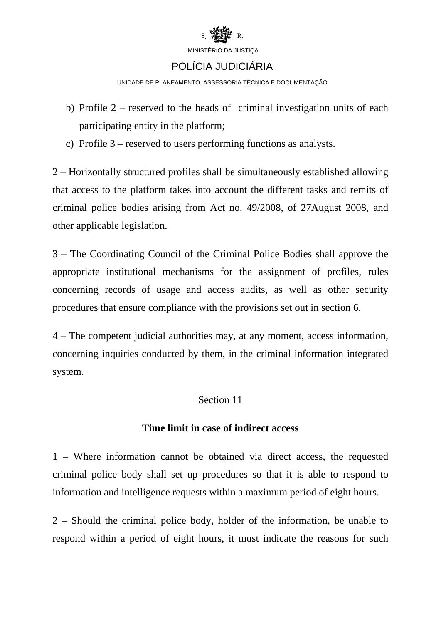

### POLÍCIA JUDICIÁRIA

UNIDADE DE PLANEAMENTO, ASSESSORIA TÉCNICA E DOCUMENTAÇÃO

- b) Profile 2 reserved to the heads of criminal investigation units of each participating entity in the platform;
- c) Profile 3 reserved to users performing functions as analysts.

2 – Horizontally structured profiles shall be simultaneously established allowing that access to the platform takes into account the different tasks and remits of criminal police bodies arising from Act no. 49/2008, of 27August 2008, and other applicable legislation.

3 – The Coordinating Council of the Criminal Police Bodies shall approve the appropriate institutional mechanisms for the assignment of profiles, rules concerning records of usage and access audits, as well as other security procedures that ensure compliance with the provisions set out in section 6.

4 – The competent judicial authorities may, at any moment, access information, concerning inquiries conducted by them, in the criminal information integrated system.

### Section 11

### **Time limit in case of indirect access**

1 – Where information cannot be obtained via direct access, the requested criminal police body shall set up procedures so that it is able to respond to information and intelligence requests within a maximum period of eight hours.

2 – Should the criminal police body, holder of the information, be unable to respond within a period of eight hours, it must indicate the reasons for such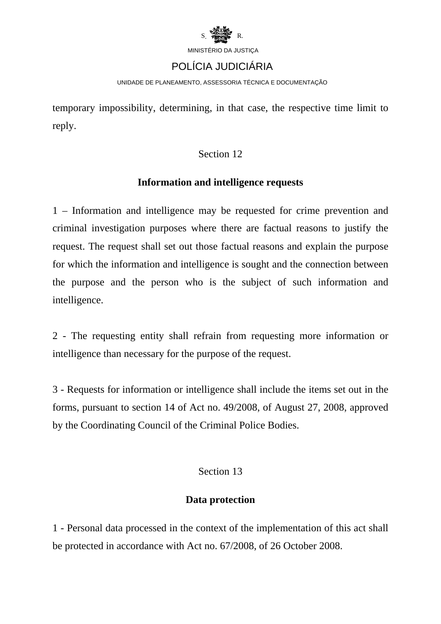

### POLÍCIA JUDICIÁRIA

UNIDADE DE PLANEAMENTO, ASSESSORIA TÉCNICA E DOCUMENTAÇÃO

temporary impossibility, determining, in that case, the respective time limit to reply.

### Section 12

### **Information and intelligence requests**

1 – Information and intelligence may be requested for crime prevention and criminal investigation purposes where there are factual reasons to justify the request. The request shall set out those factual reasons and explain the purpose for which the information and intelligence is sought and the connection between the purpose and the person who is the subject of such information and intelligence.

2 - The requesting entity shall refrain from requesting more information or intelligence than necessary for the purpose of the request.

3 - Requests for information or intelligence shall include the items set out in the forms, pursuant to section 14 of Act no. 49/2008, of August 27, 2008, approved by the Coordinating Council of the Criminal Police Bodies.

### Section 13

### **Data protection**

1 - Personal data processed in the context of the implementation of this act shall be protected in accordance with Act no. 67/2008, of 26 October 2008.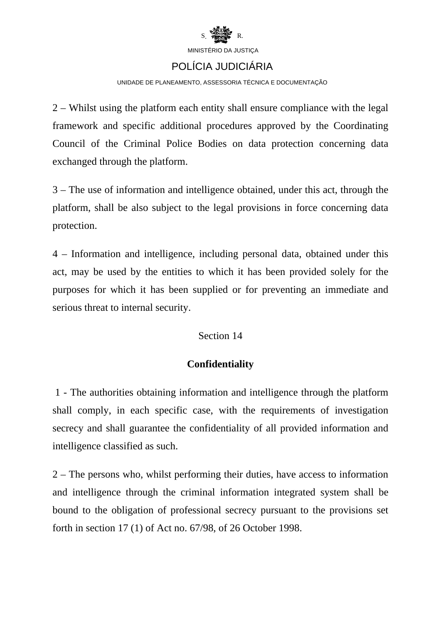

# POLÍCIA JUDICIÁRIA

UNIDADE DE PLANEAMENTO, ASSESSORIA TÉCNICA E DOCUMENTAÇÃO

2 – Whilst using the platform each entity shall ensure compliance with the legal framework and specific additional procedures approved by the Coordinating Council of the Criminal Police Bodies on data protection concerning data exchanged through the platform.

3 – The use of information and intelligence obtained, under this act, through the platform, shall be also subject to the legal provisions in force concerning data protection.

4 – Information and intelligence, including personal data, obtained under this act, may be used by the entities to which it has been provided solely for the purposes for which it has been supplied or for preventing an immediate and serious threat to internal security.

### Section 14

### **Confidentiality**

 1 - The authorities obtaining information and intelligence through the platform shall comply, in each specific case, with the requirements of investigation secrecy and shall guarantee the confidentiality of all provided information and intelligence classified as such.

2 – The persons who, whilst performing their duties, have access to information and intelligence through the criminal information integrated system shall be bound to the obligation of professional secrecy pursuant to the provisions set forth in section 17 (1) of Act no. 67/98, of 26 October 1998.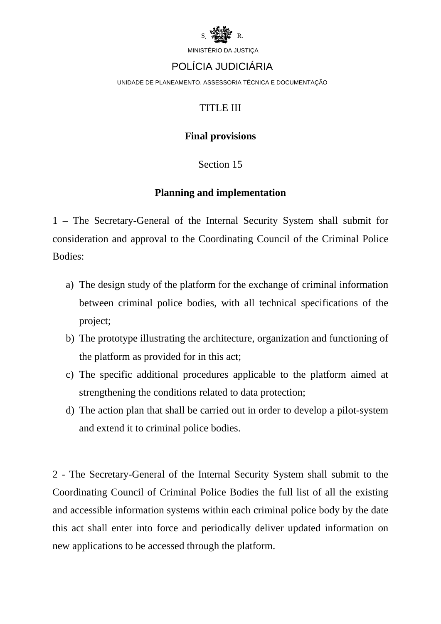

### POLÍCIA JUDICIÁRIA

UNIDADE DE PLANEAMENTO, ASSESSORIA TÉCNICA E DOCUMENTAÇÃO

### TITLE III

### **Final provisions**

### Section 15

### **Planning and implementation**

1 – The Secretary-General of the Internal Security System shall submit for consideration and approval to the Coordinating Council of the Criminal Police Bodies:

- a) The design study of the platform for the exchange of criminal information between criminal police bodies, with all technical specifications of the project;
- b) The prototype illustrating the architecture, organization and functioning of the platform as provided for in this act;
- c) The specific additional procedures applicable to the platform aimed at strengthening the conditions related to data protection;
- d) The action plan that shall be carried out in order to develop a pilot-system and extend it to criminal police bodies.

2 - The Secretary-General of the Internal Security System shall submit to the Coordinating Council of Criminal Police Bodies the full list of all the existing and accessible information systems within each criminal police body by the date this act shall enter into force and periodically deliver updated information on new applications to be accessed through the platform.